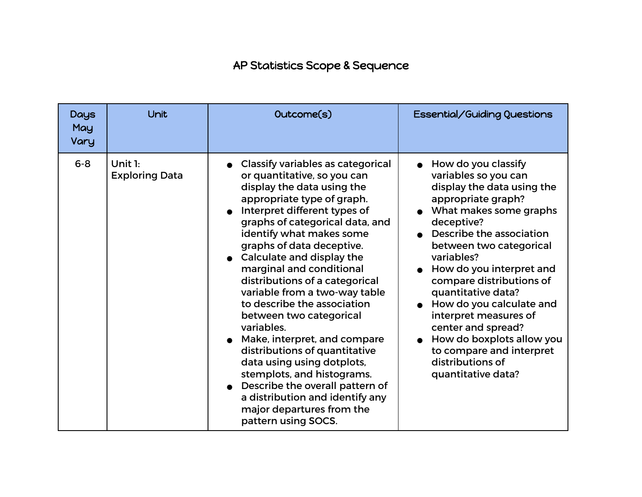## AP Statistics Scope & Sequence

| Days<br>May<br>Vary | Unit                                | Outcome(s)                                                                                                                                                                                                                                                                                                                                                                                                                                                                                                                                                                                                                                                                                                                 | Essential/Guiding Questions                                                                                                                                                                                                                                                                                                                                                                                                                                              |
|---------------------|-------------------------------------|----------------------------------------------------------------------------------------------------------------------------------------------------------------------------------------------------------------------------------------------------------------------------------------------------------------------------------------------------------------------------------------------------------------------------------------------------------------------------------------------------------------------------------------------------------------------------------------------------------------------------------------------------------------------------------------------------------------------------|--------------------------------------------------------------------------------------------------------------------------------------------------------------------------------------------------------------------------------------------------------------------------------------------------------------------------------------------------------------------------------------------------------------------------------------------------------------------------|
| $6 - 8$             | Unit $1$ :<br><b>Exploring Data</b> | <b>Classify variables as categorical</b><br>or quantitative, so you can<br>display the data using the<br>appropriate type of graph.<br>Interpret different types of<br>graphs of categorical data, and<br>identify what makes some<br>graphs of data deceptive.<br>Calculate and display the<br>marginal and conditional<br>distributions of a categorical<br>variable from a two-way table<br>to describe the association<br>between two categorical<br>variables.<br>Make, interpret, and compare<br>distributions of quantitative<br>data using using dotplots,<br>stemplots, and histograms.<br>Describe the overall pattern of<br>a distribution and identify any<br>major departures from the<br>pattern using SOCS. | How do you classify<br>variables so you can<br>display the data using the<br>appropriate graph?<br>What makes some graphs<br>deceptive?<br>Describe the association<br>between two categorical<br>variables?<br>How do you interpret and<br>compare distributions of<br>quantitative data?<br>How do you calculate and<br>interpret measures of<br>center and spread?<br>How do boxplots allow you<br>to compare and interpret<br>distributions of<br>quantitative data? |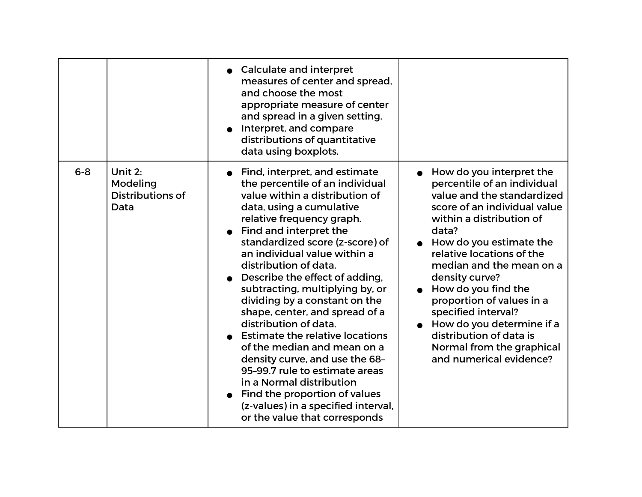|         |                                                 | • Calculate and interpret<br>measures of center and spread,<br>and choose the most<br>appropriate measure of center<br>and spread in a given setting.<br>Interpret, and compare<br>distributions of quantitative<br>data using boxplots.                                                                                                                                                                                                                                                                                                                                                                                                                                                                                             |                                                                                                                                                                                                                                                                                                                                                                                                                                                               |
|---------|-------------------------------------------------|--------------------------------------------------------------------------------------------------------------------------------------------------------------------------------------------------------------------------------------------------------------------------------------------------------------------------------------------------------------------------------------------------------------------------------------------------------------------------------------------------------------------------------------------------------------------------------------------------------------------------------------------------------------------------------------------------------------------------------------|---------------------------------------------------------------------------------------------------------------------------------------------------------------------------------------------------------------------------------------------------------------------------------------------------------------------------------------------------------------------------------------------------------------------------------------------------------------|
| $6 - 8$ | Unit 2:<br>Modeling<br>Distributions of<br>Data | Find, interpret, and estimate<br>the percentile of an individual<br>value within a distribution of<br>data, using a cumulative<br>relative frequency graph.<br>Find and interpret the<br>standardized score (z-score) of<br>an individual value within a<br>distribution of data.<br>Describe the effect of adding,<br>subtracting, multiplying by, or<br>dividing by a constant on the<br>shape, center, and spread of a<br>distribution of data.<br><b>Estimate the relative locations</b><br>of the median and mean on a<br>density curve, and use the 68-<br>95-99.7 rule to estimate areas<br>in a Normal distribution<br>Find the proportion of values<br>(z-values) in a specified interval,<br>or the value that corresponds | How do you interpret the<br>percentile of an individual<br>value and the standardized<br>score of an individual value<br>within a distribution of<br>data?<br>• How do you estimate the<br>relative locations of the<br>median and the mean on a<br>density curve?<br>How do you find the<br>proportion of values in a<br>specified interval?<br>How do you determine if a<br>distribution of data is<br>Normal from the graphical<br>and numerical evidence? |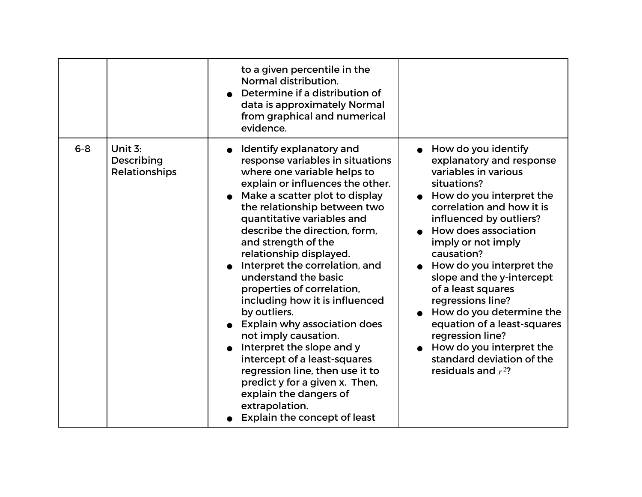|         |                                        | to a given percentile in the<br>Normal distribution.<br>Determine if a distribution of<br>data is approximately Normal<br>from graphical and numerical<br>evidence.                                                                                                                                                                                                                                                                                                                                                                                                                                                                                                                                                                |                                                                                                                                                                                                                                                                                                                                                                                                                                                                                                             |
|---------|----------------------------------------|------------------------------------------------------------------------------------------------------------------------------------------------------------------------------------------------------------------------------------------------------------------------------------------------------------------------------------------------------------------------------------------------------------------------------------------------------------------------------------------------------------------------------------------------------------------------------------------------------------------------------------------------------------------------------------------------------------------------------------|-------------------------------------------------------------------------------------------------------------------------------------------------------------------------------------------------------------------------------------------------------------------------------------------------------------------------------------------------------------------------------------------------------------------------------------------------------------------------------------------------------------|
| $6 - 8$ | Unit 3:<br>Describing<br>Relationships | Identify explanatory and<br>response variables in situations<br>where one variable helps to<br>explain or influences the other.<br>Make a scatter plot to display<br>the relationship between two<br>quantitative variables and<br>describe the direction, form,<br>and strength of the<br>relationship displayed.<br>Interpret the correlation, and<br>understand the basic<br>properties of correlation,<br>including how it is influenced<br>by outliers.<br>Explain why association does<br>not imply causation.<br>Interpret the slope and y<br>intercept of a least-squares<br>regression line, then use it to<br>predict y for a given x. Then,<br>explain the dangers of<br>extrapolation.<br>Explain the concept of least | How do you identify<br>explanatory and response<br>variables in various<br>situations?<br>How do you interpret the<br>correlation and how it is<br>influenced by outliers?<br>How does association<br>imply or not imply<br>causation?<br>How do you interpret the<br>slope and the y-intercept<br>of a least squares<br>regressions line?<br>How do you determine the<br>equation of a least-squares<br>regression line?<br>How do you interpret the<br>standard deviation of the<br>residuals and $r^2$ ? |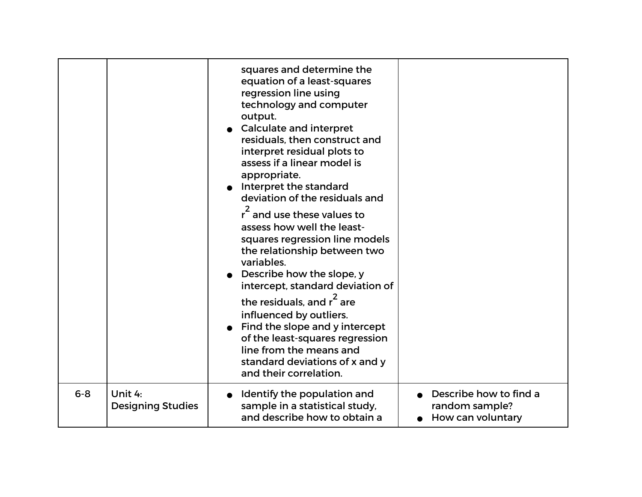|         |                                     | squares and determine the<br>equation of a least-squares<br>regression line using<br>technology and computer<br>output.<br><b>Calculate and interpret</b><br>residuals, then construct and<br>interpret residual plots to<br>assess if a linear model is<br>appropriate.<br>Interpret the standard<br>deviation of the residuals and<br>$r^2$ and use these values to<br>assess how well the least-<br>squares regression line models<br>the relationship between two<br>variables.<br>Describe how the slope, y<br>intercept, standard deviation of<br>the residuals, and $r^2$ are<br>influenced by outliers.<br>Find the slope and y intercept<br>of the least-squares regression<br>line from the means and<br>standard deviations of x and y<br>and their correlation. |                                                               |
|---------|-------------------------------------|-----------------------------------------------------------------------------------------------------------------------------------------------------------------------------------------------------------------------------------------------------------------------------------------------------------------------------------------------------------------------------------------------------------------------------------------------------------------------------------------------------------------------------------------------------------------------------------------------------------------------------------------------------------------------------------------------------------------------------------------------------------------------------|---------------------------------------------------------------|
| $6 - 8$ | Unit 4:<br><b>Designing Studies</b> | Identify the population and<br>sample in a statistical study,<br>and describe how to obtain a                                                                                                                                                                                                                                                                                                                                                                                                                                                                                                                                                                                                                                                                               | Describe how to find a<br>random sample?<br>How can voluntary |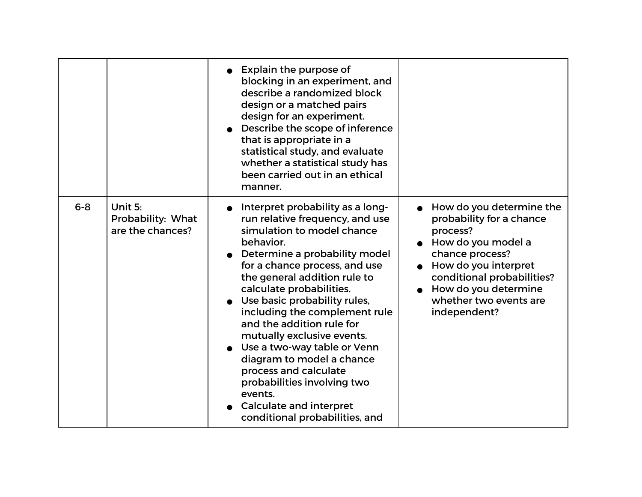|         |                                                  | Explain the purpose of<br>blocking in an experiment, and<br>describe a randomized block<br>design or a matched pairs<br>design for an experiment.<br>Describe the scope of inference<br>that is appropriate in a<br>statistical study, and evaluate<br>whether a statistical study has<br>been carried out in an ethical<br>manner.                                                                                                                                                                                                                                         |                                                                                                                                                                                                                                   |
|---------|--------------------------------------------------|-----------------------------------------------------------------------------------------------------------------------------------------------------------------------------------------------------------------------------------------------------------------------------------------------------------------------------------------------------------------------------------------------------------------------------------------------------------------------------------------------------------------------------------------------------------------------------|-----------------------------------------------------------------------------------------------------------------------------------------------------------------------------------------------------------------------------------|
| $6 - 8$ | Unit 5:<br>Probability: What<br>are the chances? | Interpret probability as a long-<br>run relative frequency, and use<br>simulation to model chance<br>behavior.<br>Determine a probability model<br>for a chance process, and use<br>the general addition rule to<br>calculate probabilities.<br>Use basic probability rules,<br>including the complement rule<br>and the addition rule for<br>mutually exclusive events.<br>Use a two-way table or Venn<br>diagram to model a chance<br>process and calculate<br>probabilities involving two<br>events.<br><b>Calculate and interpret</b><br>conditional probabilities, and | How do you determine the<br>probability for a chance<br>process?<br>How do you model a<br>chance process?<br>How do you interpret<br>conditional probabilities?<br>How do you determine<br>whether two events are<br>independent? |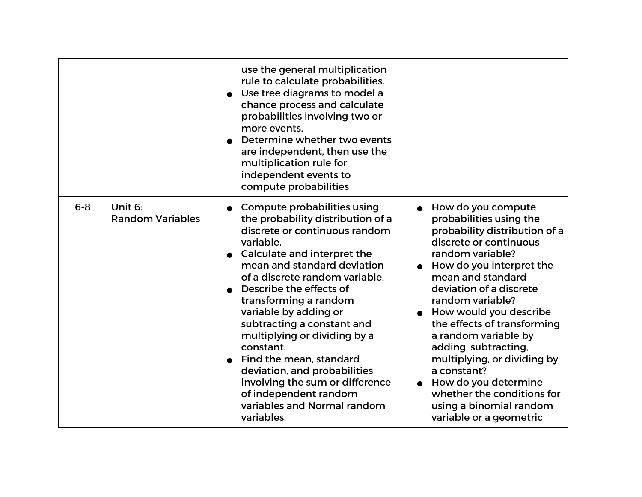|         |                                    | use the general multiplication<br>rule to calculate probabilities.<br>Use tree diagrams to model a<br>chance process and calculate<br>probabilities involving two or<br>more events.<br>Determine whether two events<br>are independent, then use the<br>multiplication rule for<br>independent events to<br>compute probabilities                                                                                                                                                                                                         |                                                                                                                                                                                                                                                                                                                                                                                                                                                                                                 |
|---------|------------------------------------|--------------------------------------------------------------------------------------------------------------------------------------------------------------------------------------------------------------------------------------------------------------------------------------------------------------------------------------------------------------------------------------------------------------------------------------------------------------------------------------------------------------------------------------------|-------------------------------------------------------------------------------------------------------------------------------------------------------------------------------------------------------------------------------------------------------------------------------------------------------------------------------------------------------------------------------------------------------------------------------------------------------------------------------------------------|
| $6 - 8$ | Unit 6:<br><b>Random Variables</b> | Compute probabilities using<br>the probability distribution of a<br>discrete or continuous random<br>variable.<br>Calculate and interpret the<br>mean and standard deviation<br>of a discrete random variable.<br>Describe the effects of<br>transforming a random<br>variable by adding or<br>subtracting a constant and<br>multiplying or dividing by a<br>constant.<br>Find the mean, standard<br>deviation, and probabilities<br>involving the sum or difference<br>of independent random<br>variables and Normal random<br>variables. | How do you compute<br>probabilities using the<br>probability distribution of a<br>discrete or continuous<br>random variable?<br>How do you interpret the<br>mean and standard<br>deviation of a discrete<br>random variable?<br>How would you describe<br>the effects of transforming<br>a random variable by<br>adding, subtracting,<br>multiplying, or dividing by<br>a constant?<br>How do you determine<br>whether the conditions for<br>using a binomial random<br>variable or a geometric |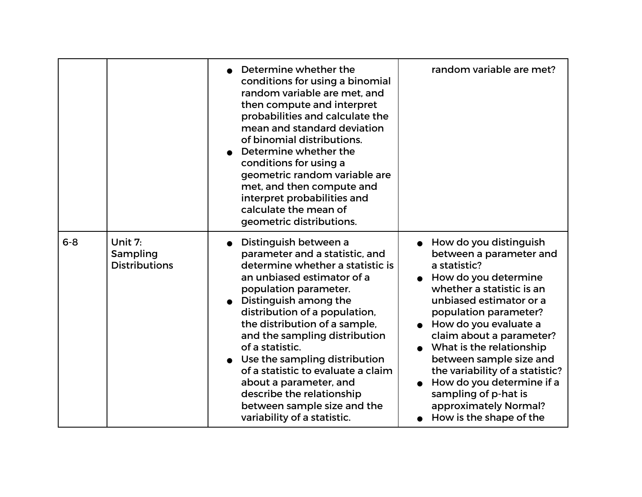|         |                                             | Determine whether the<br>conditions for using a binomial<br>random variable are met, and<br>then compute and interpret<br>probabilities and calculate the<br>mean and standard deviation<br>of binomial distributions.<br>Determine whether the<br>conditions for using a<br>geometric random variable are<br>met, and then compute and<br>interpret probabilities and<br>calculate the mean of<br>geometric distributions.                                                                   | random variable are met?                                                                                                                                                                                                                                                                                                                                                                                                           |
|---------|---------------------------------------------|-----------------------------------------------------------------------------------------------------------------------------------------------------------------------------------------------------------------------------------------------------------------------------------------------------------------------------------------------------------------------------------------------------------------------------------------------------------------------------------------------|------------------------------------------------------------------------------------------------------------------------------------------------------------------------------------------------------------------------------------------------------------------------------------------------------------------------------------------------------------------------------------------------------------------------------------|
| $6 - 8$ | Unit 7:<br>Sampling<br><b>Distributions</b> | Distinguish between a<br>parameter and a statistic, and<br>determine whether a statistic is<br>an unbiased estimator of a<br>population parameter.<br>Distinguish among the<br>distribution of a population,<br>the distribution of a sample,<br>and the sampling distribution<br>of a statistic.<br>Use the sampling distribution<br>of a statistic to evaluate a claim<br>about a parameter, and<br>describe the relationship<br>between sample size and the<br>variability of a statistic. | How do you distinguish<br>between a parameter and<br>a statistic?<br>How do you determine<br>whether a statistic is an<br>unbiased estimator or a<br>population parameter?<br>How do you evaluate a<br>claim about a parameter?<br>What is the relationship<br>between sample size and<br>the variability of a statistic?<br>How do you determine if a<br>sampling of p-hat is<br>approximately Normal?<br>How is the shape of the |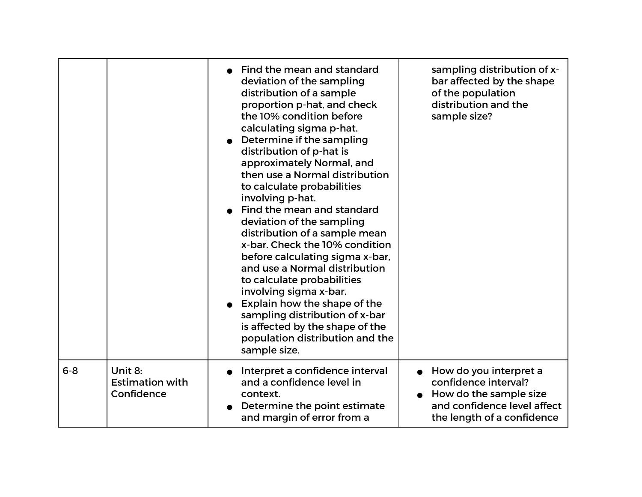|         |                                                 | Find the mean and standard<br>deviation of the sampling<br>distribution of a sample<br>proportion p-hat, and check<br>the 10% condition before<br>calculating sigma p-hat.<br>Determine if the sampling<br>distribution of p-hat is<br>approximately Normal, and<br>then use a Normal distribution<br>to calculate probabilities<br>involving p-hat.<br>Find the mean and standard<br>deviation of the sampling<br>distribution of a sample mean<br>x-bar. Check the 10% condition<br>before calculating sigma x-bar,<br>and use a Normal distribution<br>to calculate probabilities<br>involving sigma x-bar.<br>Explain how the shape of the<br>sampling distribution of x-bar<br>is affected by the shape of the<br>population distribution and the<br>sample size. | sampling distribution of x-<br>bar affected by the shape<br>of the population<br>distribution and the<br>sample size?                 |
|---------|-------------------------------------------------|------------------------------------------------------------------------------------------------------------------------------------------------------------------------------------------------------------------------------------------------------------------------------------------------------------------------------------------------------------------------------------------------------------------------------------------------------------------------------------------------------------------------------------------------------------------------------------------------------------------------------------------------------------------------------------------------------------------------------------------------------------------------|---------------------------------------------------------------------------------------------------------------------------------------|
| $6 - 8$ | Unit 8:<br><b>Estimation with</b><br>Confidence | Interpret a confidence interval<br>and a confidence level in<br>context.<br>Determine the point estimate<br>and margin of error from a                                                                                                                                                                                                                                                                                                                                                                                                                                                                                                                                                                                                                                 | How do you interpret a<br>confidence interval?<br>How do the sample size<br>and confidence level affect<br>the length of a confidence |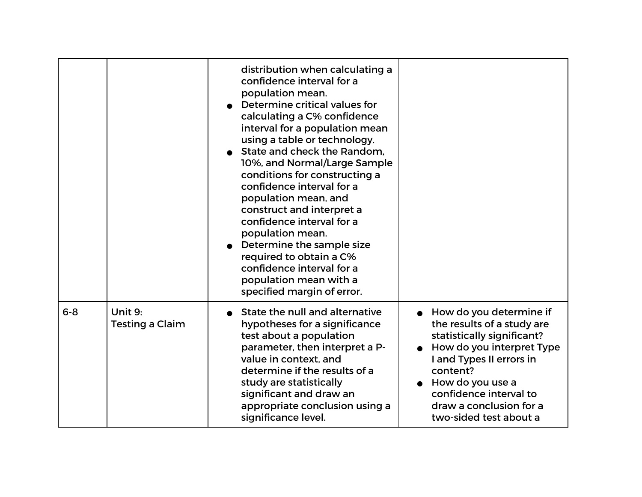|         |                                   | distribution when calculating a<br>confidence interval for a<br>population mean.<br>Determine critical values for<br>calculating a C% confidence<br>interval for a population mean<br>using a table or technology.<br>State and check the Random.<br>10%, and Normal/Large Sample<br>conditions for constructing a<br>confidence interval for a<br>population mean, and<br>construct and interpret a<br>confidence interval for a<br>population mean.<br>Determine the sample size<br>required to obtain a C%<br>confidence interval for a<br>population mean with a<br>specified margin of error. |                                                                                                                                                                                                                                                             |
|---------|-----------------------------------|----------------------------------------------------------------------------------------------------------------------------------------------------------------------------------------------------------------------------------------------------------------------------------------------------------------------------------------------------------------------------------------------------------------------------------------------------------------------------------------------------------------------------------------------------------------------------------------------------|-------------------------------------------------------------------------------------------------------------------------------------------------------------------------------------------------------------------------------------------------------------|
| $6 - 8$ | Unit 9:<br><b>Testing a Claim</b> | State the null and alternative<br>hypotheses for a significance<br>test about a population<br>parameter, then interpret a P-<br>value in context, and<br>determine if the results of a<br>study are statistically<br>significant and draw an<br>appropriate conclusion using a<br>significance level.                                                                                                                                                                                                                                                                                              | How do you determine if<br>the results of a study are<br>statistically significant?<br>How do you interpret Type<br>I and Types II errors in<br>content?<br>How do you use a<br>confidence interval to<br>draw a conclusion for a<br>two-sided test about a |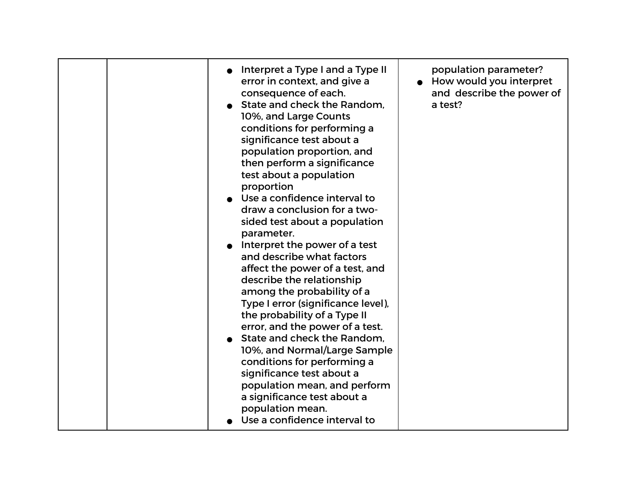| Interpret a Type I and a Type II<br>error in context, and give a<br>consequence of each.<br>State and check the Random.<br>10%, and Large Counts<br>conditions for performing a<br>significance test about a<br>population proportion, and<br>then perform a significance<br>test about a population<br>proportion<br>Use a confidence interval to<br>draw a conclusion for a two-<br>sided test about a population<br>parameter.<br>Interpret the power of a test<br>and describe what factors<br>affect the power of a test, and<br>describe the relationship<br>among the probability of a<br>Type I error (significance level),<br>the probability of a Type II<br>error, and the power of a test.<br>State and check the Random.<br>10%, and Normal/Large Sample<br>conditions for performing a<br>significance test about a<br>population mean, and perform<br>a significance test about a<br>population mean.<br>Use a confidence interval to | population parameter?<br>How would you interpret<br>and describe the power of<br>a test? |
|------------------------------------------------------------------------------------------------------------------------------------------------------------------------------------------------------------------------------------------------------------------------------------------------------------------------------------------------------------------------------------------------------------------------------------------------------------------------------------------------------------------------------------------------------------------------------------------------------------------------------------------------------------------------------------------------------------------------------------------------------------------------------------------------------------------------------------------------------------------------------------------------------------------------------------------------------|------------------------------------------------------------------------------------------|
|------------------------------------------------------------------------------------------------------------------------------------------------------------------------------------------------------------------------------------------------------------------------------------------------------------------------------------------------------------------------------------------------------------------------------------------------------------------------------------------------------------------------------------------------------------------------------------------------------------------------------------------------------------------------------------------------------------------------------------------------------------------------------------------------------------------------------------------------------------------------------------------------------------------------------------------------------|------------------------------------------------------------------------------------------|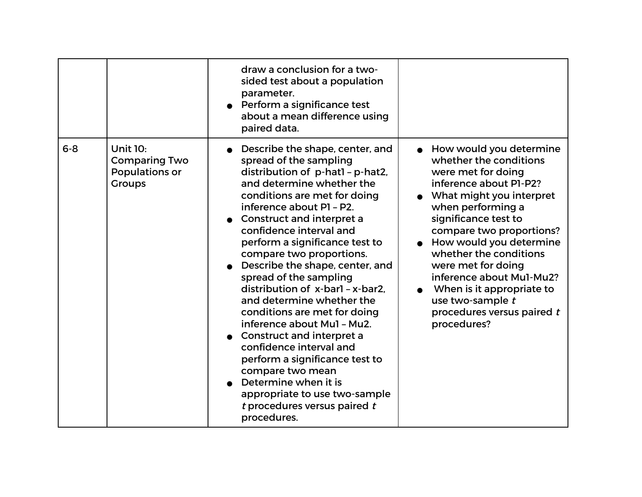|         |                                                                            | draw a conclusion for a two-<br>sided test about a population<br>parameter.<br>• Perform a significance test<br>about a mean difference using<br>paired data.                                                                                                                                                                                                                                                                                                                                                                                                                                                                                                                                                                  |                                                                                                                                                                                                                                                                                                                                                                                                             |
|---------|----------------------------------------------------------------------------|--------------------------------------------------------------------------------------------------------------------------------------------------------------------------------------------------------------------------------------------------------------------------------------------------------------------------------------------------------------------------------------------------------------------------------------------------------------------------------------------------------------------------------------------------------------------------------------------------------------------------------------------------------------------------------------------------------------------------------|-------------------------------------------------------------------------------------------------------------------------------------------------------------------------------------------------------------------------------------------------------------------------------------------------------------------------------------------------------------------------------------------------------------|
| $6 - 8$ | <b>Unit 10:</b><br><b>Comparing Two</b><br>Populations or<br><b>Groups</b> | Describe the shape, center, and<br>spread of the sampling<br>distribution of p-hatl - p-hat2,<br>and determine whether the<br>conditions are met for doing<br>inference about P1 - P2.<br>Construct and interpret a<br>confidence interval and<br>perform a significance test to<br>compare two proportions.<br>Describe the shape, center, and<br>spread of the sampling<br>distribution of x-barl - x-bar2.<br>and determine whether the<br>conditions are met for doing<br>inference about Mul - Mu2.<br>Construct and interpret a<br>confidence interval and<br>perform a significance test to<br>compare two mean<br>Determine when it is<br>appropriate to use two-sample<br>t procedures versus paired t<br>procedures. | How would you determine<br>whether the conditions<br>were met for doing<br>inference about P1-P2?<br>What might you interpret<br>when performing a<br>significance test to<br>compare two proportions?<br>How would you determine<br>whether the conditions<br>were met for doing<br>inference about Mul-Mu2?<br>When is it appropriate to<br>use two-sample t<br>procedures versus paired t<br>procedures? |